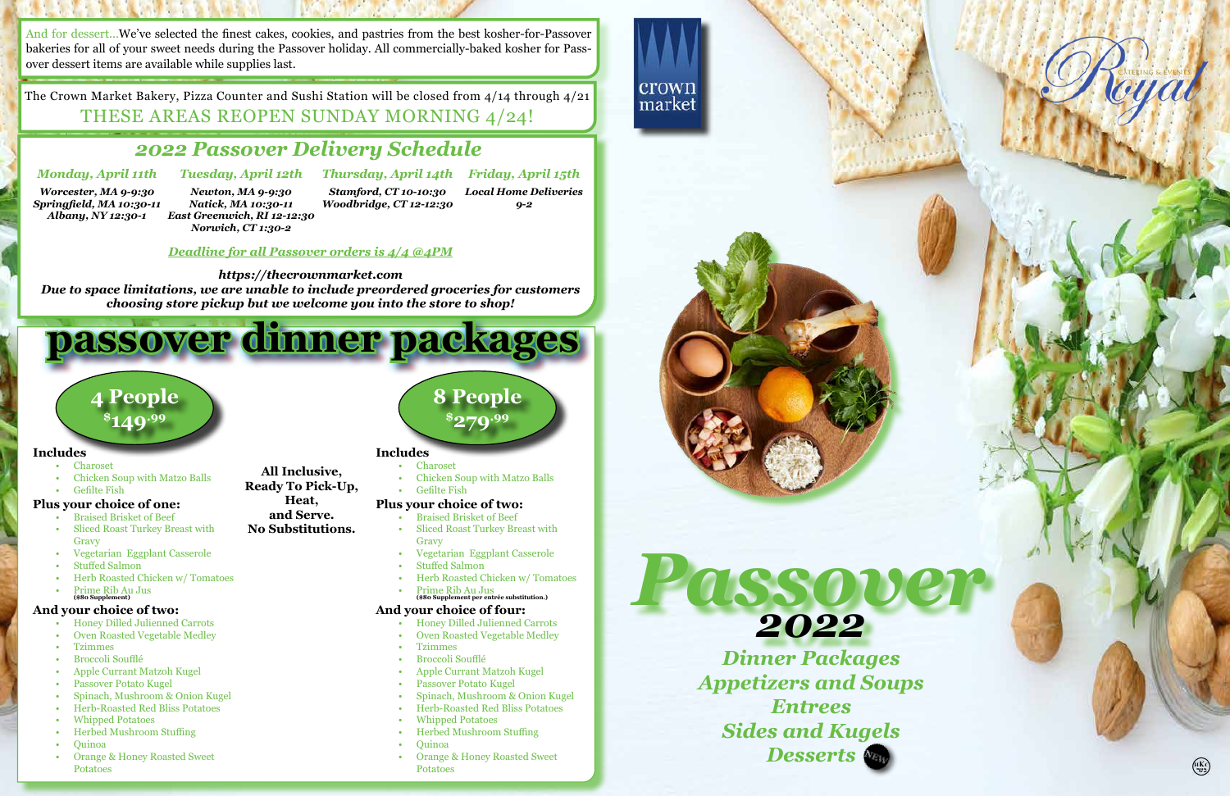And for dessert...We've selected the finest cakes, cookies, and pastries from the best kosher-for-Passover bakeries for all of your sweet needs during the Passover holiday. All commercially-baked kosher for Passover dessert items are available while supplies last.

The Crown Market Bakery, Pizza Counter and Sushi Station will be closed from 4/14 through 4/21 THESE AREAS REOPEN SUNDAY MORNING 4/24!





- -
	-
	-
	-
	-

**8 People**

**\$279.99**

#### **Includes**

- Charoset
- Chicken Soup with Matzo Balls
- Gefilte Fish

#### **Plus your choice of one:**

- Braised Brisket of Beef
- Sliced Roast Turkey Breast with Gravy
- Vegetarian Eggplant Casserole
- Stuffed Salmon
- Herb Roasted Chicken w/ Tomatoes
- Prime Rib Au Jus **(\$80 Supplement)**

#### **And your choice of two:**

- Honey Dilled Julienned Carrots
- Oven Roasted Vegetable Medley
- Tzimmes
- Broccoli Soufflé
- Apple Currant Matzoh Kugel
- Passover Potato Kugel
- Spinach, Mushroom & Onion Kugel
- Herb-Roasted Red Bliss Potatoes
- Whipped Potatoes
- Herbed Mushroom Stuffing
- Quinoa
- Orange & Honey Roasted Sweet Potatoes

**All Inclusive, Ready To Pick-Up, Heat, and Serve. No Substitutions.**

## **4 People \$149.99**

#### **Includes**

- Charoset
	- Chicken Soup with Matzo Balls

• Gefilte Fish

#### **Plus your choice of two:**

- Braised Brisket of Beef
- Sliced Roast Turkey Breast with Gravy
- Vegetarian Eggplant Casserole
- Stuffed Salmon
- Herb Roasted Chicken w/ Tomatoes
- Prime Rib Au Jus **(\$80 Supplement per entrée substitution.)**

#### **And your choice of four:**

- Honey Dilled Julienned Carrots
- Oven Roasted Vegetable Medley
- Tzimmes
- Broccoli Soufflé
- Apple Currant Matzoh Kugel
- Passover Potato Kugel
- Spinach, Mushroom & Onion Kugel
- Herb-Roasted Red Bliss Potatoes
- Whipped Potatoes
- Herbed Mushroom Stuffing
- Quinoa
- Orange & Honey Roasted Sweet Potatoes



# **passover dinner packages**

# *2022 Passover Delivery Schedule*

#### *Monday, April 11th*

*Worcester, MA 9-9:30 Springfield, MA 10:30-11 Albany, NY 12:30-1*

*Stamford, CT 10-10:30 Woodbridge, CT 12-12:30*

*Tuesday, April 12th*

*Thursday, April 14th Friday, April 15th*

*Newton, MA 9-9:30 Natick, MA 10:30-11 East Greenwich, RI 12-12:30 Norwich, CT 1:30-2*

*Local Home Deliveries 9-2*

#### *Deadline for all Passover orders is 4/4 @4PM*

*https://thecrownmarket.com*

*Due to space limitations, we are unable to include preordered groceries for customers choosing store pickup but we welcome you into the store to shop!*